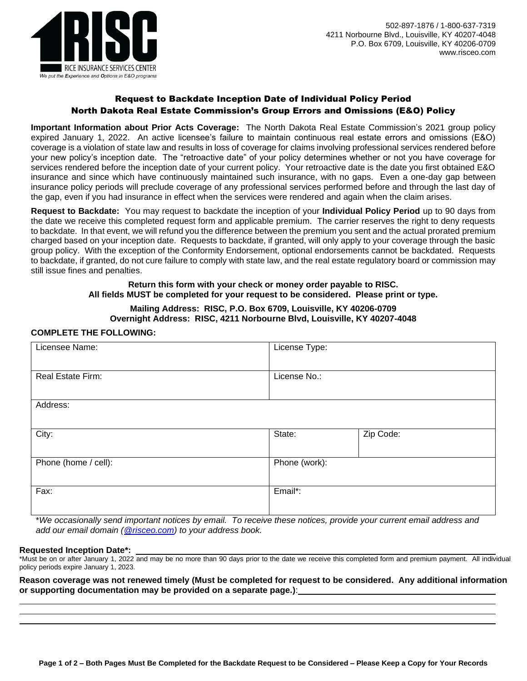

# Request to Backdate Inception Date of Individual Policy Period North Dakota Real Estate Commission's Group Errors and Omissions (E&O) Policy

**Important Information about Prior Acts Coverage:** The North Dakota Real Estate Commission's 2021 group policy expired January 1, 2022. An active licensee's failure to maintain continuous real estate errors and omissions (E&O) coverage is a violation of state law and results in loss of coverage for claims involving professional services rendered before your new policy's inception date. The "retroactive date" of your policy determines whether or not you have coverage for services rendered before the inception date of your current policy. Your retroactive date is the date you first obtained E&O insurance and since which have continuously maintained such insurance, with no gaps. Even a one-day gap between insurance policy periods will preclude coverage of any professional services performed before and through the last day of the gap, even if you had insurance in effect when the services were rendered and again when the claim arises.

**Request to Backdate:** You may request to backdate the inception of your **Individual Policy Period** up to 90 days from the date we receive this completed request form and applicable premium. The carrier reserves the right to deny requests to backdate. In that event, we will refund you the difference between the premium you sent and the actual prorated premium charged based on your inception date. Requests to backdate, if granted, will only apply to your coverage through the basic group policy. With the exception of the Conformity Endorsement, optional endorsements cannot be backdated. Requests to backdate, if granted, do not cure failure to comply with state law, and the real estate regulatory board or commission may still issue fines and penalties.

### **Return this form with your check or money order payable to RISC. All fields MUST be completed for your request to be considered. Please print or type.**

## **Mailing Address: RISC, P.O. Box 6709, Louisville, KY 40206-0709 Overnight Address: RISC, 4211 Norbourne Blvd, Louisville, KY 40207-4048**

## **COMPLETE THE FOLLOWING:**

| Licensee Name:           | License Type: |           |
|--------------------------|---------------|-----------|
| <b>Real Estate Firm:</b> | License No.:  |           |
| Address:                 |               |           |
| City:                    | State:        | Zip Code: |
| Phone (home / cell):     | Phone (work): |           |
| Fax:                     | Email*:       |           |

\**We occasionally send important notices by email. To receive these notices, provide your current email address and add our email domain [\(@risceo.com\)](mailto:policyadministrator@risceo.com) to your address book.*

### **Requested Inception Date\*:**

\*Must be on or after January 1, 2022 and may be no more than 90 days prior to the date we receive this completed form and premium payment. All individual policy periods expire January 1, 2023.

**Reason coverage was not renewed timely (Must be completed for request to be considered. Any additional information or supporting documentation may be provided on a separate page.)**: